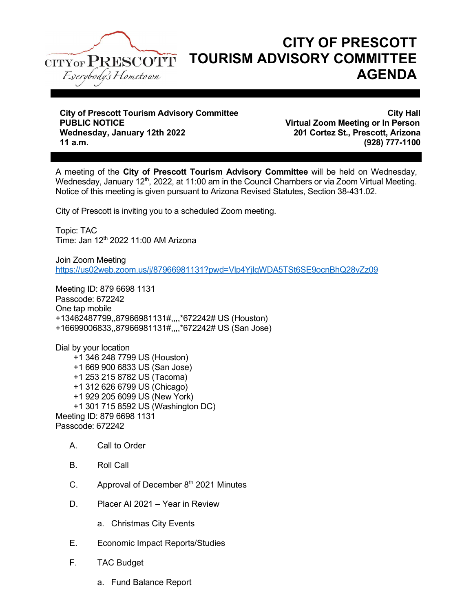

ı

## CITY OF PRESCOTT TOURISM ADVISORY COMMITTEE AGENDA

City of Prescott Tourism Advisory Committee<br>PUBLIC NOTICE CITY Hall Wednesday, January 12th 2022 201 Cortez St., Prescott, Arizona 11 a.m. (928) 777-1100

Virtual Zoom Meeting or In Person

A meeting of the City of Prescott Tourism Advisory Committee will be held on Wednesday, Wednesday, January 12<sup>th</sup>, 2022, at 11:00 am in the Council Chambers or via Zoom Virtual Meeting. Notice of this meeting is given pursuant to Arizona Revised Statutes, Section 38-431.02.

City of Prescott is inviting you to a scheduled Zoom meeting.

Topic: TAC Time: Jan 12<sup>th</sup> 2022 11:00 AM Arizona

Join Zoom Meeting https://us02web.zoom.us/j/87966981131?pwd=Vlp4YjlqWDA5TSt6SE9ocnBhQ28vZz09

Meeting ID: 879 6698 1131 Passcode: 672242 One tap mobile +13462487799,,87966981131#,,,,\*672242# US (Houston) +16699006833,,87966981131#,,,,\*672242# US (San Jose)

Dial by your location +1 346 248 7799 US (Houston) +1 669 900 6833 US (San Jose) +1 253 215 8782 US (Tacoma) +1 312 626 6799 US (Chicago) +1 929 205 6099 US (New York) +1 301 715 8592 US (Washington DC) Meeting ID: 879 6698 1131 Passcode: 672242

- A. Call to Order
- B. Roll Call
- C. Approval of December  $8<sup>th</sup>$  2021 Minutes
- D. Placer AI 2021 Year in Review
	- a. Christmas City Events
- E. Economic Impact Reports/Studies
- F. TAC Budget
	- a. Fund Balance Report